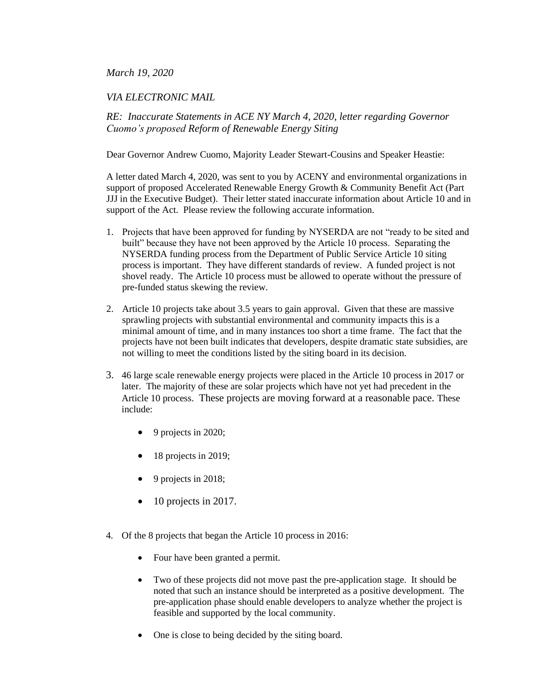## *March 19, 2020*

## *VIA ELECTRONIC MAIL*

*RE: Inaccurate Statements in ACE NY March 4, 2020, letter regarding Governor Cuomo's proposed Reform of Renewable Energy Siting*

Dear Governor Andrew Cuomo, Majority Leader Stewart-Cousins and Speaker Heastie:

A letter dated March 4, 2020, was sent to you by ACENY and environmental organizations in support of proposed Accelerated Renewable Energy Growth & Community Benefit Act (Part JJJ in the Executive Budget). Their letter stated inaccurate information about Article 10 and in support of the Act. Please review the following accurate information.

- 1. Projects that have been approved for funding by NYSERDA are not "ready to be sited and built" because they have not been approved by the Article 10 process. Separating the NYSERDA funding process from the Department of Public Service Article 10 siting process is important. They have different standards of review. A funded project is not shovel ready. The Article 10 process must be allowed to operate without the pressure of pre-funded status skewing the review.
- 2. Article 10 projects take about 3.5 years to gain approval. Given that these are massive sprawling projects with substantial environmental and community impacts this is a minimal amount of time, and in many instances too short a time frame. The fact that the projects have not been built indicates that developers, despite dramatic state subsidies, are not willing to meet the conditions listed by the siting board in its decision.
- 3. 46 large scale renewable energy projects were placed in the Article 10 process in 2017 or later. The majority of these are solar projects which have not yet had precedent in the Article 10 process. These projects are moving forward at a reasonable pace. These include:
	- 9 projects in 2020;
	- 18 projects in 2019;
	- $\bullet$  9 projects in 2018;
	- 10 projects in 2017.
- 4. Of the 8 projects that began the Article 10 process in 2016:
	- Four have been granted a permit.
	- Two of these projects did not move past the pre-application stage. It should be noted that such an instance should be interpreted as a positive development. The pre-application phase should enable developers to analyze whether the project is feasible and supported by the local community.
	- One is close to being decided by the siting board.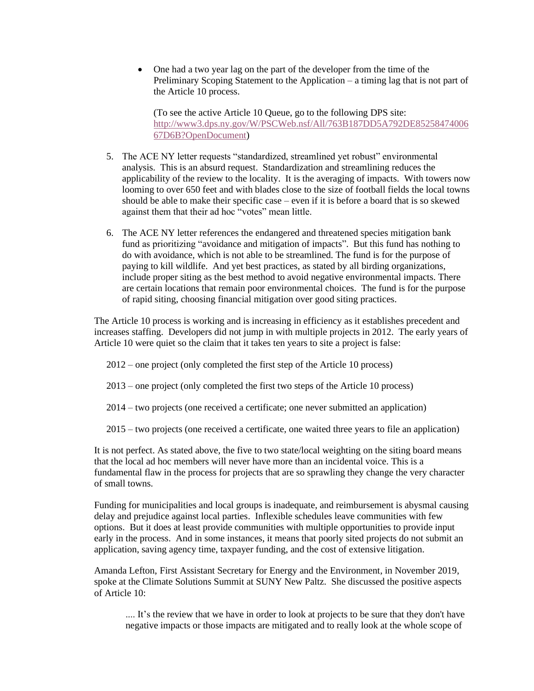• One had a two year lag on the part of the developer from the time of the Preliminary Scoping Statement to the Application – a timing lag that is not part of the Article 10 process.

(To see the active Article 10 Queue, go to the following DPS site: [http://www3.dps.ny.gov/W/PSCWeb.nsf/All/763B187DD5A792DE85258474006](http://www3.dps.ny.gov/W/PSCWeb.nsf/All/763B187DD5A792DE8525847400667D6B?OpenDocument) [67D6B?OpenDocument\)](http://www3.dps.ny.gov/W/PSCWeb.nsf/All/763B187DD5A792DE8525847400667D6B?OpenDocument)

- 5. The ACE NY letter requests "standardized, streamlined yet robust" environmental analysis. This is an absurd request. Standardization and streamlining reduces the applicability of the review to the locality. It is the averaging of impacts. With towers now looming to over 650 feet and with blades close to the size of football fields the local towns should be able to make their specific case – even if it is before a board that is so skewed against them that their ad hoc "votes" mean little.
- 6. The ACE NY letter references the endangered and threatened species mitigation bank fund as prioritizing "avoidance and mitigation of impacts". But this fund has nothing to do with avoidance, which is not able to be streamlined. The fund is for the purpose of paying to kill wildlife. And yet best practices, as stated by all birding organizations, include proper siting as the best method to avoid negative environmental impacts. There are certain locations that remain poor environmental choices. The fund is for the purpose of rapid siting, choosing financial mitigation over good siting practices.

The Article 10 process is working and is increasing in efficiency as it establishes precedent and increases staffing. Developers did not jump in with multiple projects in 2012. The early years of Article 10 were quiet so the claim that it takes ten years to site a project is false:

- 2012 one project (only completed the first step of the Article 10 process)
- 2013 one project (only completed the first two steps of the Article 10 process)
- 2014 two projects (one received a certificate; one never submitted an application)
- 2015 two projects (one received a certificate, one waited three years to file an application)

It is not perfect. As stated above, the five to two state/local weighting on the siting board means that the local ad hoc members will never have more than an incidental voice. This is a fundamental flaw in the process for projects that are so sprawling they change the very character of small towns.

Funding for municipalities and local groups is inadequate, and reimbursement is abysmal causing delay and prejudice against local parties. Inflexible schedules leave communities with few options. But it does at least provide communities with multiple opportunities to provide input early in the process. And in some instances, it means that poorly sited projects do not submit an application, saving agency time, taxpayer funding, and the cost of extensive litigation.

Amanda Lefton, First Assistant Secretary for Energy and the Environment, in November 2019, spoke at the Climate Solutions Summit at SUNY New Paltz. She discussed the positive aspects of Article 10:

.... It's the review that we have in order to look at projects to be sure that they don't have negative impacts or those impacts are mitigated and to really look at the whole scope of